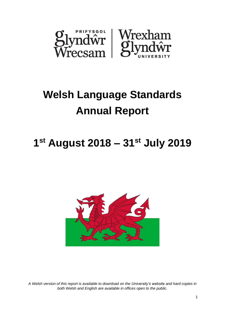

# **Welsh Language Standards Annual Report**

# **1 st August 2018 – 31st July 2019**



*A Welsh version of this report is available to download on the [University's website](https://www.glyndwr.ac.uk/cy/YnglynaPhrifysgolGlyndwr/PolisiauaDogfennau/DogfennauCorfforaethol/) and hard copies in both Welsh and English are available in offices open to the public.*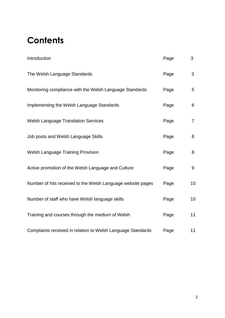# **Contents**

| Introduction                                                | Page | 3              |
|-------------------------------------------------------------|------|----------------|
| The Welsh Language Standards                                | Page | 3              |
| Monitoring compliance with the Welsh Language Standards     | Page | 5              |
| Implementing the Welsh Language Standards                   | Page | 6              |
| <b>Welsh Language Translation Services</b>                  | Page | $\overline{7}$ |
| Job posts and Welsh Language Skills                         | Page | 8              |
| <b>Welsh Language Training Provision</b>                    | Page | 8              |
| Active promotion of the Welsh Language and Culture          | Page | 9              |
| Number of hits received to the Welsh Language website pages | Page | 10             |
| Number of staff who have Welsh language skills              | Page | 10             |
| Training and courses through the medium of Welsh            | Page | 11             |
| Complaints received in relation to Welsh Language Standards | Page | 11             |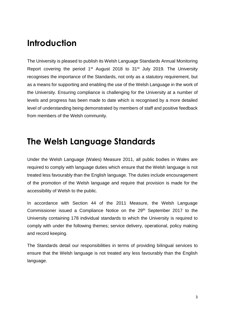### **Introduction**

The University is pleased to publish its Welsh Language Standards Annual Monitoring Report covering the period 1<sup>st</sup> August 2018 to 31<sup>st</sup> July 2019. The University recognises the importance of the Standards, not only as a statutory requirement, but as a means for supporting and enabling the use of the Welsh Language in the work of the University. Ensuring compliance is challenging for the University at a number of levels and progress has been made to date which is recognised by a more detailed level of understanding being demonstrated by members of staff and positive feedback from members of the Welsh community.

#### **The Welsh Language Standards**

Under the Welsh Language (Wales) Measure 2011, all public bodies in Wales are required to comply with language duties which ensure that the Welsh language is not treated less favourably than the English language. The duties include encouragement of the promotion of the Welsh language and require that provision is made for the accessibility of Welsh to the public.

In accordance with Section 44 of the 2011 Measure, the Welsh Language Commissioner issued a Compliance Notice on the 29<sup>th</sup> September 2017 to the University containing 178 individual standards to which the University is required to comply with under the following themes; service delivery, operational, policy making and record keeping.

The Standards detail our responsibilities in terms of providing bilingual services to ensure that the Welsh language is not treated any less favourably than the English language.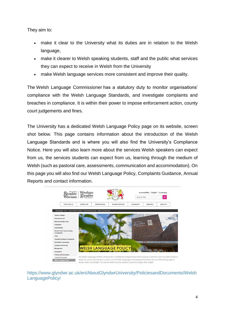They aim to:

- make it clear to the University what its duties are in relation to the Welsh language,
- make it clearer to Welsh speaking students, staff and the public what services they can expect to receive in Welsh from the University
- make Welsh language services more consistent and improve their quality.

The [Welsh Language Commissioner](http://www.comisiynyddygymraeg.cymru/english/Pages/Home.aspx) has a statutory duty to monitor organisations' compliance with the Welsh Language Standards, and investigate complaints and breaches in compliance. It is within their power to impose enforcement action, county court judgements and fines.

The University has a dedicated [Welsh Language Policy](https://www.glyndwr.ac.uk/en/AboutGlyndwrUniversity/PoliciesandDocuments/WelshLanguagePolicy/) page on its website, screen shot below. This page contains information about the introduction of the Welsh Language Standards and is where you will also find the University's Compliance Notice. Here you will also learn more about the services Welsh speakers can expect from us, the services students can expect from us, learning through the medium of Welsh (such as pastoral care, assessments, communication and accommodation). On this page you will also find our Welsh Language Policy, Complaints Guidance, Annual Reports and contact information.



[https://www.glyndwr.ac.uk/en/AboutGlyndwrUniversity/PoliciesandDocuments/Welsh](https://www.glyndwr.ac.uk/en/AboutGlyndwrUniversity/PoliciesandDocuments/WelshLanguagePolicy/) [LanguagePolicy/](https://www.glyndwr.ac.uk/en/AboutGlyndwrUniversity/PoliciesandDocuments/WelshLanguagePolicy/)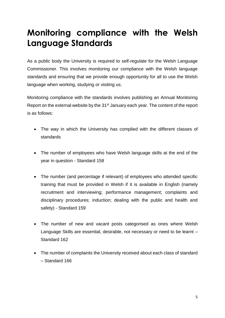# **Monitoring compliance with the Welsh Language Standards**

As a public body the University is required to self-regulate for the Welsh Language Commissioner. This involves monitoring our compliance with the Welsh language standards and ensuring that we provide enough opportunity for all to use the Welsh language when working, studying or visiting us.

Monitoring compliance with the standards involves publishing an Annual Monitoring Report on the external website by the 31<sup>st</sup> January each year. The content of the report is as follows:

- The way in which the University has complied with the different classes of standards
- The number of employees who have Welsh language skills at the end of the year in question - Standard 158
- The number (and percentage if relevant) of employees who attended specific training that must be provided in Welsh if it is available in English (namely recruitment and interviewing; performance management; complaints and disciplinary procedures; induction; dealing with the public and health and safety) - Standard 159
- The number of new and vacant posts categorised as ones where Welsh Language Skills are essential, desirable, not necessary or need to be learnt – Standard 162
- The number of complaints the University received about each class of standard – Standard 166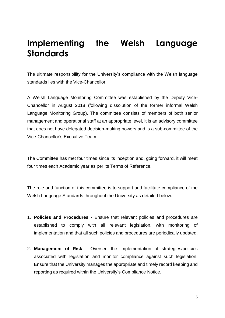## **Implementing the Welsh Language Standards**

The ultimate responsibility for the University's compliance with the Welsh language standards lies with the Vice-Chancellor.

A Welsh Language Monitoring Committee was established by the Deputy Vice-Chancellor in August 2018 (following dissolution of the former informal Welsh Language Monitoring Group). The committee consists of members of both senior management and operational staff at an appropriate level, it is an advisory committee that does not have delegated decision-making powers and is a sub-committee of the Vice-Chancellor's Executive Team.

The Committee has met four times since its inception and, going forward, it will meet four times each Academic year as per its Terms of Reference.

The role and function of this committee is to support and facilitate compliance of the Welsh Language Standards throughout the University as detailed below:

- 1. **Policies and Procedures -** Ensure that relevant policies and procedures are established to comply with all relevant legislation, with monitoring of implementation and that all such policies and procedures are periodically updated.
- 2. **Management of Risk** Oversee the implementation of strategies/policies associated with legislation and monitor compliance against such legislation. Ensure that the University manages the appropriate and timely record keeping and reporting as required within the University's Compliance Notice.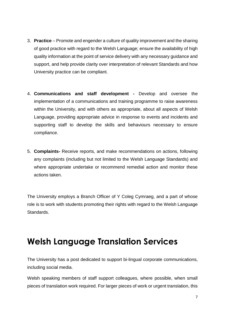- 3. **Practice** Promote and engender a culture of quality improvement and the sharing of good practice with regard to the Welsh Language; ensure the availability of high quality information at the point of service delivery with any necessary guidance and support, and help provide clarity over interpretation of relevant Standards and how University practice can be compliant.
- 4. **Communications and staff development -** Develop and oversee the implementation of a communications and training programme to raise awareness within the University, and with others as appropriate, about all aspects of Welsh Language, providing appropriate advice in response to events and incidents and supporting staff to develop the skills and behaviours necessary to ensure compliance.
- 5. **Complaints-** Receive reports, and make recommendations on actions, following any complaints (including but not limited to the Welsh Language Standards) and where appropriate undertake or recommend remedial action and monitor these actions taken.

The University employs a Branch Officer of Y Coleg Cymraeg, and a part of whose role is to work with students promoting their rights with regard to the Welsh Language Standards.

### **Welsh Language Translation Services**

The University has a post dedicated to support bi-lingual corporate communications, including social media.

Welsh speaking members of staff support colleagues, where possible, when small pieces of translation work required. For larger pieces of work or urgent translation, this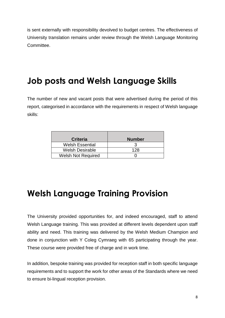is sent externally with responsibility devolved to budget centres. The effectiveness of University translation remains under review through the Welsh Language Monitoring Committee.

# **Job posts and Welsh Language Skills**

The number of new and vacant posts that were advertised during the period of this report, categorised in accordance with the requirements in respect of Welsh language skills:

| <b>Criteria</b>           | <b>Number</b> |  |
|---------------------------|---------------|--|
| <b>Welsh Essential</b>    |               |  |
| <b>Welsh Desirable</b>    | 128           |  |
| <b>Welsh Not Required</b> |               |  |

#### **Welsh Language Training Provision**

The University provided opportunities for, and indeed encouraged, staff to attend Welsh Language training. This was provided at different levels dependent upon staff ability and need. This training was delivered by the Welsh Medium Champion and done in conjunction with Y Coleg Cymraeg with 65 participating through the year. These course were provided free of charge and in work time.

In addition, bespoke training was provided for reception staff in both specific language requirements and to support the work for other areas of the Standards where we need to ensure bi-lingual reception provision.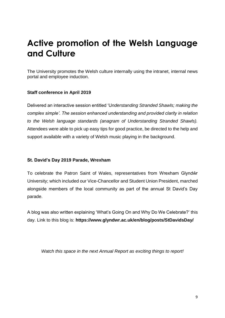# **Active promotion of the Welsh Language and Culture**

The University promotes the Welsh culture internally using the intranet, internal news portal and employee induction.

#### **Staff conference in April 2019**

Delivered an interactive session entitled 'U*nderstanding Stranded Shawls; making the complex simple'. The session enhanced understanding and provided clarity in relation to the Welsh language standards (anagram of Understanding Stranded Shawls).*  Attendees were able to pick up easy tips for good practice, be directed to the help and support available with a variety of Welsh music playing in the background.

#### **St. David's Day 2019 Parade, Wrexham**

To celebrate the Patron Saint of Wales, representatives from Wrexham Glyndŵr University; which included our Vice-Chancellor and Student Union President, marched alongside members of the local community as part of the annual St David's Day parade.

A blog was also written explaining ['What's Going On and Why Do We Celebrate?'](https://www.glyndwr.ac.uk/en/blog/posts/StDavidsDay/) this day. Link to this blog is: **<https://www.glyndwr.ac.uk/en/blog/posts/StDavidsDay/>**

*Watch this space in the next Annual Report as exciting things to report!*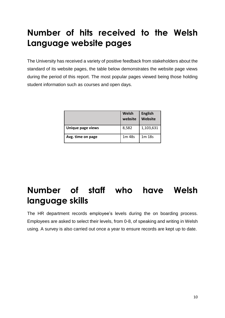# **Number of hits received to the Welsh Language website pages**

The University has received a variety of positive feedback from stakeholders about the standard of its website pages, the table below demonstrates the website page views during the period of this report. The most popular pages viewed being those holding student information such as courses and open days.

|                   | Welsh<br>website   | <b>English</b><br>Website |
|-------------------|--------------------|---------------------------|
| Unique page views | 8,582              | 1,103,631                 |
| Avg. time on page | 1 <sub>m</sub> 48s | 1 <sub>m</sub> 18s        |

# **Number of staff who have Welsh language skills**

The HR department records employee's levels during the on boarding process. Employees are asked to select their levels, from 0-8, of speaking and writing in Welsh using. A survey is also carried out once a year to ensure records are kept up to date.